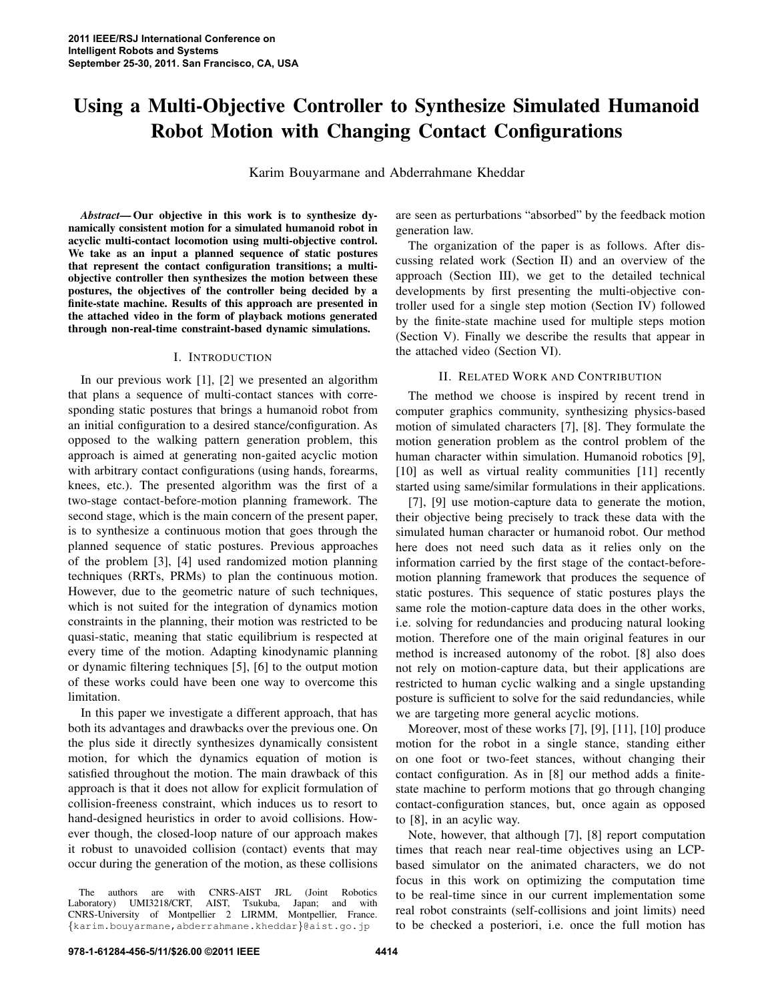# **Using a Multi-Objective Controller to Synthesize Simulated Humanoid Robot Motion with Changing Contact Configurations**

Karim Bouyarmane and Abderrahmane Kheddar

*Abstract***— Our objective in this work is to synthesize dynamically consistent motion for a simulated humanoid robot in acyclic multi-contact locomotion using multi-objective control. We take as an input a planned sequence of static postures that represent the contact configuration transitions; a multiobjective controller then synthesizes the motion between these postures, the objectives of the controller being decided by a finite-state machine. Results of this approach are presented in the attached video in the form of playback motions generated through non-real-time constraint-based dynamic simulations.**

## I. INTRODUCTION

In our previous work [1], [2] we presented an algorithm that plans a sequence of multi-contact stances with corresponding static postures that brings a humanoid robot from an initial configuration to a desired stance/configuration. As opposed to the walking pattern generation problem, this approach is aimed at generating non-gaited acyclic motion with arbitrary contact configurations (using hands, forearms, knees, etc.). The presented algorithm was the first of a two-stage contact-before-motion planning framework. The second stage, which is the main concern of the present paper, is to synthesize a continuous motion that goes through the planned sequence of static postures. Previous approaches of the problem [3], [4] used randomized motion planning techniques (RRTs, PRMs) to plan the continuous motion. However, due to the geometric nature of such techniques, which is not suited for the integration of dynamics motion constraints in the planning, their motion was restricted to be quasi-static, meaning that static equilibrium is respected at every time of the motion. Adapting kinodynamic planning or dynamic filtering techniques [5], [6] to the output motion of these works could have been one way to overcome this limitation.

In this paper we investigate a different approach, that has both its advantages and drawbacks over the previous one. On the plus side it directly synthesizes dynamically consistent motion, for which the dynamics equation of motion is satisfied throughout the motion. The main drawback of this approach is that it does not allow for explicit formulation of collision-freeness constraint, which induces us to resort to hand-designed heuristics in order to avoid collisions. However though, the closed-loop nature of our approach makes it robust to unavoided collision (contact) events that may occur during the generation of the motion, as these collisions

The authors are with CNRS-AIST JRL (Joint Robotics Laboratory) UMI3218/CRT, AIST, Tsukuba, Japan; and with CNRS-University of Montpellier 2 LIRMM, Montpellier, France. {karim.bouyarmane,abderrahmane.kheddar}@aist.go.jp

are seen as perturbations "absorbed" by the feedback motion generation law.

The organization of the paper is as follows. After discussing related work (Section II) and an overview of the approach (Section III), we get to the detailed technical developments by first presenting the multi-objective controller used for a single step motion (Section IV) followed by the finite-state machine used for multiple steps motion (Section V). Finally we describe the results that appear in the attached video (Section VI).

# II. RELATED WORK AND CONTRIBUTION

The method we choose is inspired by recent trend in computer graphics community, synthesizing physics-based motion of simulated characters [7], [8]. They formulate the motion generation problem as the control problem of the human character within simulation. Humanoid robotics [9], [10] as well as virtual reality communities [11] recently started using same/similar formulations in their applications.

[7], [9] use motion-capture data to generate the motion, their objective being precisely to track these data with the simulated human character or humanoid robot. Our method here does not need such data as it relies only on the information carried by the first stage of the contact-beforemotion planning framework that produces the sequence of static postures. This sequence of static postures plays the same role the motion-capture data does in the other works, i.e. solving for redundancies and producing natural looking motion. Therefore one of the main original features in our method is increased autonomy of the robot. [8] also does not rely on motion-capture data, but their applications are restricted to human cyclic walking and a single upstanding posture is sufficient to solve for the said redundancies, while we are targeting more general acyclic motions.

Moreover, most of these works [7], [9], [11], [10] produce motion for the robot in a single stance, standing either on one foot or two-feet stances, without changing their contact configuration. As in [8] our method adds a finitestate machine to perform motions that go through changing contact-configuration stances, but, once again as opposed to [8], in an acylic way.

Note, however, that although [7], [8] report computation times that reach near real-time objectives using an LCPbased simulator on the animated characters, we do not focus in this work on optimizing the computation time to be real-time since in our current implementation some real robot constraints (self-collisions and joint limits) need to be checked a posteriori, i.e. once the full motion has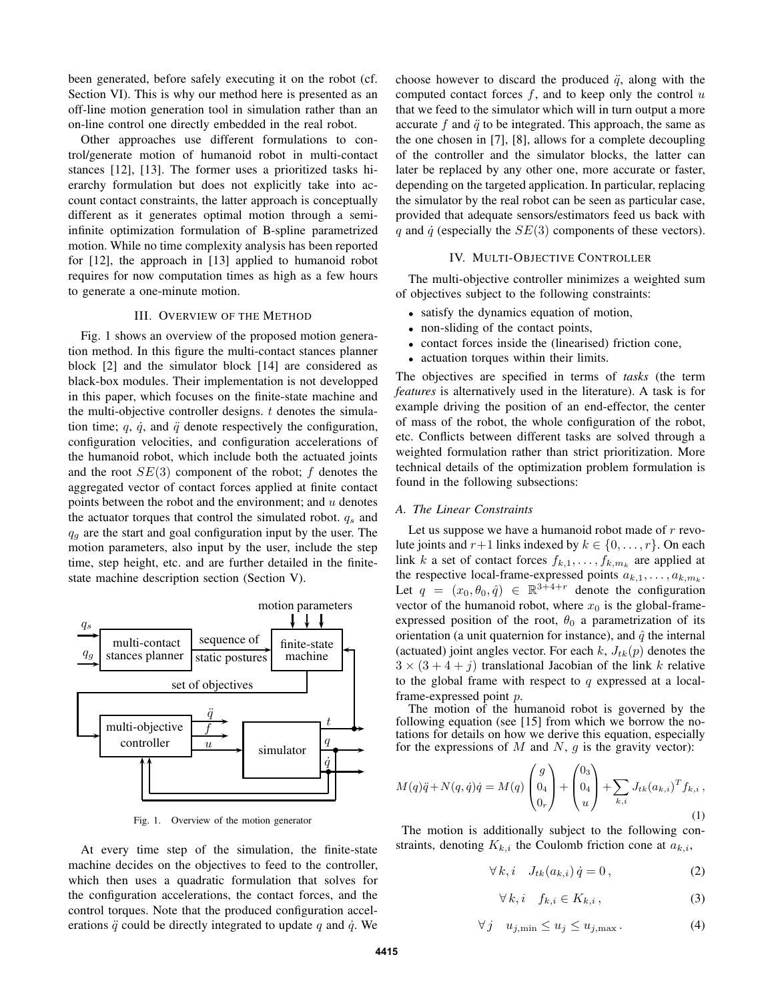been generated, before safely executing it on the robot (cf. Section VI). This is why our method here is presented as an off-line motion generation tool in simulation rather than an on-line control one directly embedded in the real robot.

Other approaches use different formulations to control/generate motion of humanoid robot in multi-contact stances [12], [13]. The former uses a prioritized tasks hierarchy formulation but does not explicitly take into account contact constraints, the latter approach is conceptually different as it generates optimal motion through a semiinfinite optimization formulation of B-spline parametrized motion. While no time complexity analysis has been reported for [12], the approach in [13] applied to humanoid robot requires for now computation times as high as a few hours to generate a one-minute motion.

#### III. OVERVIEW OF THE METHOD

Fig. 1 shows an overview of the proposed motion generation method. In this figure the multi-contact stances planner block [2] and the simulator block [14] are considered as black-box modules. Their implementation is not developped in this paper, which focuses on the finite-state machine and the multi-objective controller designs.  $t$  denotes the simulation time;  $q$ ,  $\dot{q}$ , and  $\ddot{q}$  denote respectively the configuration, configuration velocities, and configuration accelerations of the humanoid robot, which include both the actuated joints and the root  $SE(3)$  component of the robot; f denotes the aggregated vector of contact forces applied at finite contact points between the robot and the environment; and  $u$  denotes the actuator torques that control the simulated robot.  $q_s$  and  $q<sub>q</sub>$  are the start and goal configuration input by the user. The motion parameters, also input by the user, include the step time, step height, etc. and are further detailed in the finitestate machine description section (Section V).



Fig. 1. Overview of the motion generator

At every time step of the simulation, the finite-state machine decides on the objectives to feed to the controller, which then uses a quadratic formulation that solves for the configuration accelerations, the contact forces, and the control torques. Note that the produced configuration accelerations  $\ddot{q}$  could be directly integrated to update q and  $\dot{q}$ . We

choose however to discard the produced  $\ddot{q}$ , along with the computed contact forces  $f$ , and to keep only the control  $u$ that we feed to the simulator which will in turn output a more accurate  $f$  and  $\ddot{q}$  to be integrated. This approach, the same as the one chosen in [7], [8], allows for a complete decoupling of the controller and the simulator blocks, the latter can later be replaced by any other one, more accurate or faster, depending on the targeted application. In particular, replacing the simulator by the real robot can be seen as particular case, provided that adequate sensors/estimators feed us back with q and  $\dot{q}$  (especially the  $SE(3)$  components of these vectors).

## IV. MULTI-OBJECTIVE CONTROLLER

The multi-objective controller minimizes a weighted sum of objectives subject to the following constraints:

- satisfy the dynamics equation of motion,
- non-sliding of the contact points,
- contact forces inside the (linearised) friction cone,
- actuation torques within their limits.

The objectives are specified in terms of *tasks* (the term *features* is alternatively used in the literature). A task is for example driving the position of an end-effector, the center of mass of the robot, the whole configuration of the robot, etc. Conflicts between different tasks are solved through a weighted formulation rather than strict prioritization. More technical details of the optimization problem formulation is found in the following subsections:

#### *A. The Linear Constraints*

Let us suppose we have a humanoid robot made of  $r$  revolute joints and  $r+1$  links indexed by  $k \in \{0, \ldots, r\}$ . On each link k a set of contact forces  $f_{k,1}, \ldots, f_{k,m_k}$  are applied at the respective local-frame-expressed points  $a_{k,1}, \ldots, a_{k,m_k}$ . Let  $q = (x_0, \theta_0, \hat{q}) \in \mathbb{R}^{3+4+r}$  denote the configuration vector of the humanoid robot, where  $x_0$  is the global-frameexpressed position of the root,  $\theta_0$  a parametrization of its orientation (a unit quaternion for instance), and  $\hat{q}$  the internal (actuated) joint angles vector. For each  $k$ ,  $J_{tk}(p)$  denotes the  $3 \times (3 + 4 + j)$  translational Jacobian of the link k relative to the global frame with respect to  $q$  expressed at a localframe-expressed point p.

The motion of the humanoid robot is governed by the following equation (see [15] from which we borrow the notations for details on how we derive this equation, especially for the expressions of  $M$  and  $N$ ,  $q$  is the gravity vector):

$$
M(q)\ddot{q} + N(q, \dot{q})\dot{q} = M(q) \begin{pmatrix} g \\ 0_4 \\ 0_r \end{pmatrix} + \begin{pmatrix} 0_3 \\ 0_4 \\ u \end{pmatrix} + \sum_{k,i} J_{tk}(a_{k,i})^T f_{k,i},
$$
\n(1)

The motion is additionally subject to the following constraints, denoting  $K_{k,i}$  the Coulomb friction cone at  $a_{k,i}$ ,

$$
\forall k, i \quad J_{tk}(a_{k,i}) \dot{q} = 0, \tag{2}
$$

$$
\forall k, i \quad f_{k,i} \in K_{k,i}, \tag{3}
$$

$$
\forall j \quad u_{j,\min} \le u_j \le u_{j,\max} \,. \tag{4}
$$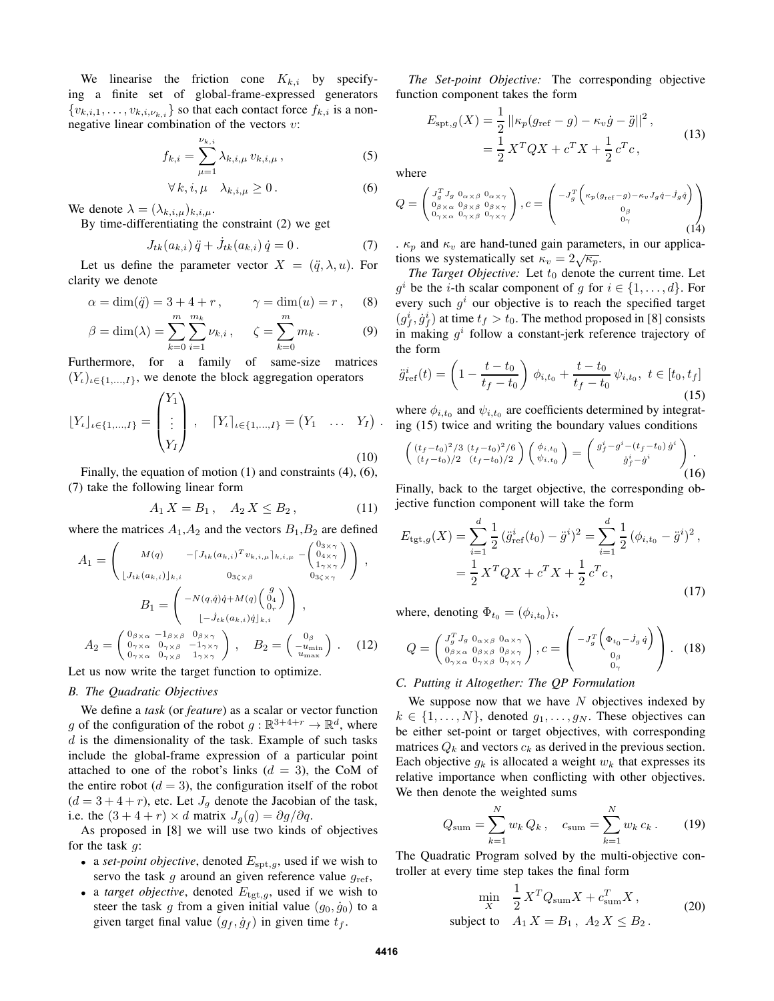We linearise the friction cone  $K_{k,i}$  by specifying a finite set of global-frame-expressed generators  $\{v_{k,i,1}, \ldots, v_{k,i,\nu_{k,i}}\}$  so that each contact force  $f_{k,i}$  is a nonnegative linear combination of the vectors  $v$ :

$$
f_{k,i} = \sum_{\mu=1}^{\nu_{k,i}} \lambda_{k,i,\mu} v_{k,i,\mu},
$$
 (5)

$$
\forall k, i, \mu \quad \lambda_{k,i,\mu} \ge 0. \tag{6}
$$

We denote  $\lambda = (\lambda_{k,i,\mu})_{k,i,\mu}$ .

By time-differentiating the constraint (2) we get

$$
J_{tk}(a_{k,i})\,\ddot{q} + \dot{J}_{tk}(a_{k,i})\,\dot{q} = 0\,. \tag{7}
$$

Let us define the parameter vector  $X = (\ddot{q}, \lambda, u)$ . For clarity we denote

$$
\alpha = \dim(\ddot{q}) = 3 + 4 + r, \qquad \gamma = \dim(u) = r, \qquad (8)
$$

$$
\beta = \dim(\lambda) = \sum_{k=0}^{m} \sum_{i=1}^{m_k} \nu_{k,i}, \quad \zeta = \sum_{k=0}^{m} m_k.
$$
 (9)

Furthermore, for a family of same-size matrices  $(Y_{\iota})_{\iota \in \{1,...,I\}}$ , we denote the block aggregation operators

$$
[Y_{\iota}]_{\iota \in \{1,\dots,I\}} = \begin{pmatrix} Y_1 \\ \vdots \\ Y_I \end{pmatrix}, \quad [Y_{\iota}]_{\iota \in \{1,\dots,I\}} = (Y_1 \quad \dots \quad Y_I) .
$$
\n(10)

Finally, the equation of motion (1) and constraints (4), (6), (7) take the following linear form

$$
A_1 X = B_1, \quad A_2 X \le B_2, \tag{11}
$$

where the matrices  $A_1, A_2$  and the vectors  $B_1, B_2$  are defined

$$
A_{1} = \begin{pmatrix} M(q) & -[J_{tk}(a_{k,i})^{T} v_{k,i,\mu}]_{k,i,\mu} - {0_{3 \times \gamma} \choose 0_{4 \times \gamma}} \\ [J_{tk}(a_{k,i})]_{k,i} & 0_{3 \zeta \times \beta} & 0_{3 \zeta \times \gamma} \end{pmatrix},
$$

$$
B_{1} = \begin{pmatrix} -N(q,\dot{q})\dot{q} + M(q) {0_{4} \choose 0_{r}} \\ [J_{tk}(a_{k,i})\dot{q}]_{k,i} \\ [J_{tk}(a_{k,i})\dot{q}]_{k,i} \end{pmatrix},
$$

$$
A_{2} = \begin{pmatrix} 0_{\beta \times \alpha} & -1_{\beta \times \beta} & 0_{\beta \times \gamma} \\ 0_{\gamma \times \alpha} & 0_{\gamma \times \beta} & -1_{\gamma \times \gamma} \\ 0_{\gamma \times \alpha} & 0_{\gamma \times \beta} & 1_{\gamma \times \gamma} \end{pmatrix}, \quad B_{2} = \begin{pmatrix} 0_{\beta} \\ -u_{\text{min}} \\ u_{\text{max}} \end{pmatrix}. \quad (12)
$$

Let us now write the target function to optimize.

#### *B. The Quadratic Objectives*

We define a *task* (or *feature*) as a scalar or vector function g of the configuration of the robot  $g : \mathbb{R}^{3+4+r} \to \mathbb{R}^d$ , where  $d$  is the dimensionality of the task. Example of such tasks include the global-frame expression of a particular point attached to one of the robot's links  $(d = 3)$ , the CoM of the entire robot  $(d = 3)$ , the configuration itself of the robot  $(d = 3 + 4 + r)$ , etc. Let  $J<sub>g</sub>$  denote the Jacobian of the task, i.e. the  $(3 + 4 + r) \times d$  matrix  $J_q(q) = \partial g / \partial q$ .

As proposed in [8] we will use two kinds of objectives for the task  $q$ :

- a *set-point objective*, denoted  $E_{\text{spt},g}$ , used if we wish to servo the task  $g$  around an given reference value  $g_{\text{ref}}$ ,
- a *target objective*, denoted  $E_{\text{tgt},g}$ , used if we wish to steer the task g from a given initial value  $(g_0, \dot{g}_0)$  to a given target final value  $(g_f, \dot{g}_f)$  in given time  $t_f$ .

*The Set-point Objective:* The corresponding objective function component takes the form

$$
E_{\text{spt},g}(X) = \frac{1}{2} ||\kappa_p (g_{\text{ref}} - g) - \kappa_v \dot{g} - \ddot{g}||^2,
$$
  
= 
$$
\frac{1}{2} X^T Q X + c^T X + \frac{1}{2} c^T c,
$$
 (13)

where

$$
Q = \begin{pmatrix} J_g^T J_g & 0_{\alpha \times \beta} & 0_{\alpha \times \gamma} \\ 0_{\beta \times \alpha} & 0_{\beta \times \beta} & 0_{\beta \times \gamma} \\ 0_{\gamma \times \alpha} & 0_{\gamma \times \beta} & 0_{\gamma \times \gamma} \end{pmatrix}, c = \begin{pmatrix} -J_g^T \left( \kappa_p (g_{\text{ref}} - g) - \kappa_v J_g \dot{q} - \dot{J}_g \dot{q} \right) \\ 0_{\beta} \\ 0_{\gamma} \\ 0_{\gamma} \end{pmatrix}
$$
 (14)

.  $\kappa_p$  and  $\kappa_v$  are hand-tuned gain parameters, in our applications we systematically set  $\kappa_v = 2\sqrt{\kappa_p}$ .

*The Target Objective:* Let  $t_0$  denote the current time. Let  $g^i$  be the *i*-th scalar component of g for  $i \in \{1, ..., d\}$ . For every such  $g^i$  our objective is to reach the specified target  $(g_f^i, \dot{g}_f^i)$  at time  $t_f > t_0$ . The method proposed in [8] consists in making  $g^i$  follow a constant-jerk reference trajectory of the form

$$
\ddot{g}_{\text{ref}}^{i}(t) = \left(1 - \frac{t - t_{0}}{t_{f} - t_{0}}\right) \phi_{i,t_{0}} + \frac{t - t_{0}}{t_{f} - t_{0}} \psi_{i,t_{0}}, \ t \in [t_{0}, t_{f}]
$$
\n(15)

where  $\phi_{i,t_0}$  and  $\psi_{i,t_0}$  are coefficients determined by integrating (15) twice and writing the boundary values conditions

$$
\begin{pmatrix}\n(t_f - t_0)^2 / 3 \ (t_f - t_0)^2 / 6 \\
(t_f - t_0) / 2 \ (t_f - t_0) / 2\n\end{pmatrix}\n\begin{pmatrix}\n\phi_{i, t_0} \\
\psi_{i, t_0}\n\end{pmatrix} =\n\begin{pmatrix}\ng_f^i - g^i - (t_f - t_0) \, \dot{g}^i \\
\dot{g}_f^i - \dot{g}^i\n\end{pmatrix}.
$$
\n(16)

Finally, back to the target objective, the corresponding objective function component will take the form

$$
E_{\text{tgt},g}(X) = \sum_{i=1}^{d} \frac{1}{2} (\ddot{g}_{\text{ref}}^{i}(t_{0}) - \ddot{g}^{i})^{2} = \sum_{i=1}^{d} \frac{1}{2} (\phi_{i,t_{0}} - \ddot{g}^{i})^{2},
$$

$$
= \frac{1}{2} X^{T} Q X + c^{T} X + \frac{1}{2} c^{T} c,
$$
(17)

where, denoting  $\Phi_{t_0} = (\phi_{i,t_0})_i$ ,

$$
Q = \begin{pmatrix} J_g^T J_g & 0_{\alpha \times \beta} & 0_{\alpha \times \gamma} \\ 0_{\beta \times \alpha} & 0_{\beta \times \beta} & 0_{\beta \times \gamma} \\ 0_{\gamma \times \alpha} & 0_{\gamma \times \beta} & 0_{\gamma \times \gamma} \end{pmatrix}, c = \begin{pmatrix} -J_g^T \left( \Phi_{t_0} - \dot{J}_g \dot{q} \right) \\ 0_{\beta} \\ 0_{\gamma} \\ 0_{\gamma} \end{pmatrix} . \quad (18)
$$

## *C. Putting it Altogether: The QP Formulation*

We suppose now that we have  $N$  objectives indexed by  $k \in \{1, \ldots, N\}$ , denoted  $g_1, \ldots, g_N$ . These objectives can be either set-point or target objectives, with corresponding matrices  $Q_k$  and vectors  $c_k$  as derived in the previous section. Each objective  $g_k$  is allocated a weight  $w_k$  that expresses its relative importance when conflicting with other objectives. We then denote the weighted sums

$$
Q_{\text{sum}} = \sum_{k=1}^{N} w_k Q_k, \quad c_{\text{sum}} = \sum_{k=1}^{N} w_k c_k. \quad (19)
$$

The Quadratic Program solved by the multi-objective controller at every time step takes the final form

$$
\min_{X} \quad \frac{1}{2} X^T Q_{\text{sum}} X + c_{\text{sum}}^T X ,
$$
\nsubject to  $A_1 X = B_1, A_2 X \le B_2.$  (20)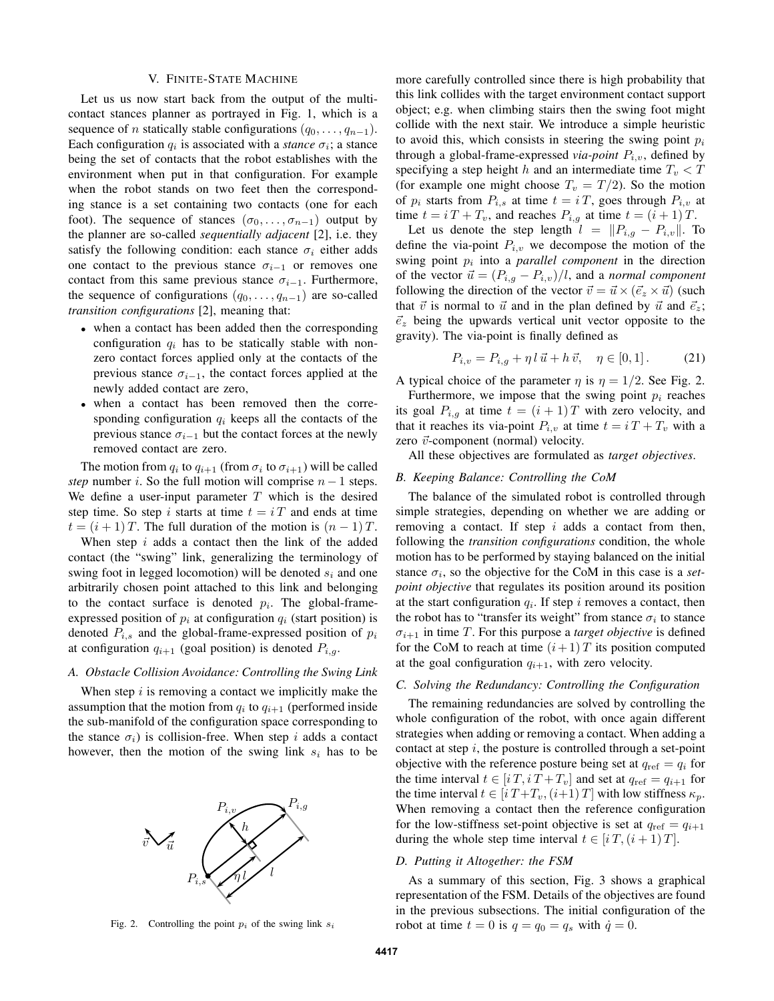#### V. FINITE-STATE MACHINE

Let us us now start back from the output of the multicontact stances planner as portrayed in Fig. 1, which is a sequence of *n* statically stable configurations  $(q_0, \ldots, q_{n-1})$ . Each configuration  $q_i$  is associated with a *stance*  $\sigma_i$ ; a stance being the set of contacts that the robot establishes with the environment when put in that configuration. For example when the robot stands on two feet then the corresponding stance is a set containing two contacts (one for each foot). The sequence of stances  $(\sigma_0, \ldots, \sigma_{n-1})$  output by the planner are so-called *sequentially adjacent* [2], i.e. they satisfy the following condition: each stance  $\sigma_i$  either adds one contact to the previous stance  $\sigma_{i-1}$  or removes one contact from this same previous stance  $\sigma_{i-1}$ . Furthermore, the sequence of configurations  $(q_0, \ldots, q_{n-1})$  are so-called *transition configurations* [2], meaning that:

- when a contact has been added then the corresponding configuration  $q_i$  has to be statically stable with nonzero contact forces applied only at the contacts of the previous stance  $\sigma_{i-1}$ , the contact forces applied at the newly added contact are zero,
- when a contact has been removed then the corresponding configuration  $q_i$  keeps all the contacts of the previous stance  $\sigma_{i-1}$  but the contact forces at the newly removed contact are zero.

The motion from  $q_i$  to  $q_{i+1}$  (from  $\sigma_i$  to  $\sigma_{i+1}$ ) will be called *step* number i. So the full motion will comprise  $n - 1$  steps. We define a user-input parameter  $T$  which is the desired step time. So step i starts at time  $t = iT$  and ends at time  $t = (i + 1)T$ . The full duration of the motion is  $(n - 1)T$ .

When step  $i$  adds a contact then the link of the added contact (the "swing" link, generalizing the terminology of swing foot in legged locomotion) will be denoted  $s_i$  and one arbitrarily chosen point attached to this link and belonging to the contact surface is denoted  $p_i$ . The global-frameexpressed position of  $p_i$  at configuration  $q_i$  (start position) is denoted  $P_{i,s}$  and the global-frame-expressed position of  $p_i$ at configuration  $q_{i+1}$  (goal position) is denoted  $P_{i,q}$ .

## *A. Obstacle Collision Avoidance: Controlling the Swing Link*

When step  $i$  is removing a contact we implicitly make the assumption that the motion from  $q_i$  to  $q_{i+1}$  (performed inside the sub-manifold of the configuration space corresponding to the stance  $\sigma_i$ ) is collision-free. When step i adds a contact however, then the motion of the swing link  $s_i$  has to be



Fig. 2. Controlling the point  $p_i$  of the swing link  $s_i$ 

more carefully controlled since there is high probability that this link collides with the target environment contact support object; e.g. when climbing stairs then the swing foot might collide with the next stair. We introduce a simple heuristic to avoid this, which consists in steering the swing point  $p_i$ through a global-frame-expressed *via-point*  $P_{i,v}$ , defined by specifying a step height h and an intermediate time  $T_v < T$ (for example one might choose  $T_v = T/2$ ). So the motion of  $p_i$  starts from  $P_{i,s}$  at time  $t = iT$ , goes through  $P_{i,v}$  at time  $t = i T + T_v$ , and reaches  $P_{i,q}$  at time  $t = (i + 1)T$ .

Let us denote the step length  $l = ||P_{i,q} - P_{i,v}||$ . To define the via-point  $P_{i,v}$  we decompose the motion of the swing point  $p_i$  into a *parallel component* in the direction of the vector  $\vec{u} = (P_{i,g} - P_{i,v})/l$ , and a *normal component* following the direction of the vector  $\vec{v} = \vec{u} \times (\vec{e}_z \times \vec{u})$  (such that  $\vec{v}$  is normal to  $\vec{u}$  and in the plan defined by  $\vec{u}$  and  $\vec{e}_z$ ;  $\vec{e}_z$  being the upwards vertical unit vector opposite to the gravity). The via-point is finally defined as

$$
P_{i,v} = P_{i,g} + \eta \, l \, \vec{u} + h \, \vec{v}, \quad \eta \in [0,1]. \tag{21}
$$

A typical choice of the parameter  $\eta$  is  $\eta = 1/2$ . See Fig. 2. Furthermore, we impose that the swing point  $p_i$  reaches its goal  $P_{i,q}$  at time  $t = (i + 1)T$  with zero velocity, and

that it reaches its via-point  $P_{i,v}$  at time  $t = i T + T_v$  with a zero  $\vec{v}$ -component (normal) velocity.

All these objectives are formulated as *target objectives*.

## *B. Keeping Balance: Controlling the CoM*

The balance of the simulated robot is controlled through simple strategies, depending on whether we are adding or removing a contact. If step  $i$  adds a contact from then, following the *transition configurations* condition, the whole motion has to be performed by staying balanced on the initial stance  $\sigma_i$ , so the objective for the CoM in this case is a *setpoint objective* that regulates its position around its position at the start configuration  $q_i$ . If step i removes a contact, then the robot has to "transfer its weight" from stance  $\sigma_i$  to stance  $\sigma_{i+1}$  in time T. For this purpose a *target objective* is defined for the CoM to reach at time  $(i+1)$  T its position computed at the goal configuration  $q_{i+1}$ , with zero velocity.

## *C. Solving the Redundancy: Controlling the Configuration*

The remaining redundancies are solved by controlling the whole configuration of the robot, with once again different strategies when adding or removing a contact. When adding a contact at step  $i$ , the posture is controlled through a set-point objective with the reference posture being set at  $q_{ref} = q_i$  for the time interval  $t \in [i]$   $T$ ,  $i]$   $T + T_v$  and set at  $q_{ref} = q_{i+1}$  for the time interval  $t \in [i] T + T_v$ ,  $(i+1)$  T with low stiffness  $\kappa_p$ . When removing a contact then the reference configuration for the low-stiffness set-point objective is set at  $q_{ref} = q_{i+1}$ during the whole step time interval  $t \in [i]$ ,  $(i + 1)$  $T$ .

## *D. Putting it Altogether: the FSM*

As a summary of this section, Fig. 3 shows a graphical representation of the FSM. Details of the objectives are found in the previous subsections. The initial configuration of the robot at time  $t = 0$  is  $q = q_0 = q_s$  with  $\dot{q} = 0$ .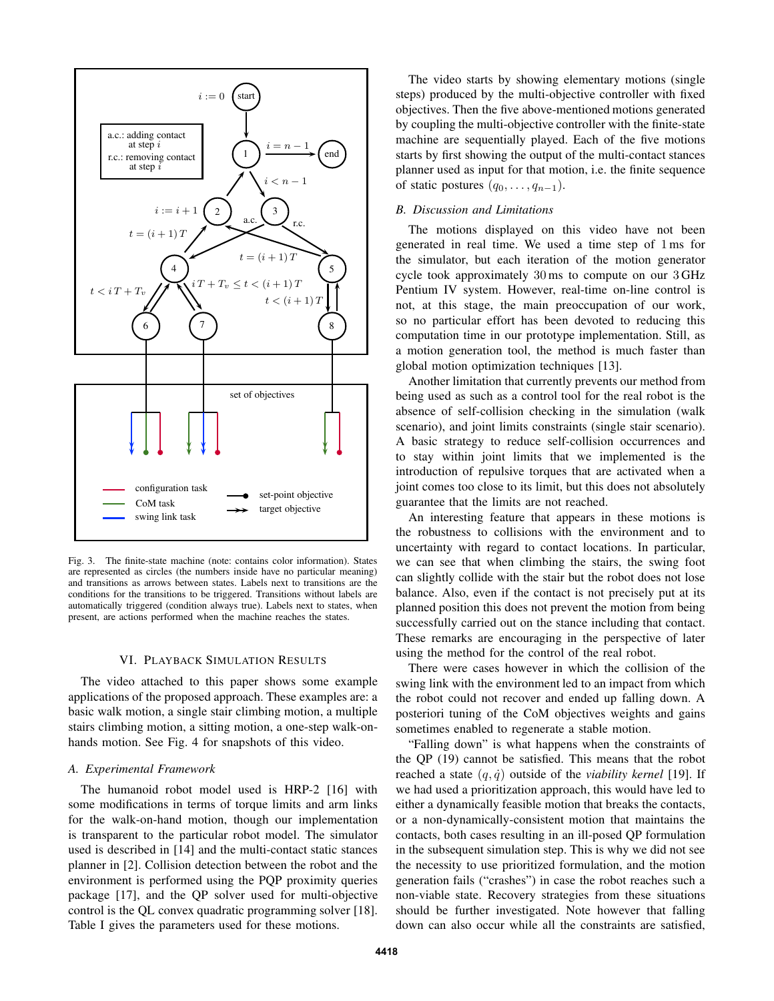

Fig. 3. The finite-state machine (note: contains color information). States are represented as circles (the numbers inside have no particular meaning) and transitions as arrows between states. Labels next to transitions are the conditions for the transitions to be triggered. Transitions without labels are automatically triggered (condition always true). Labels next to states, when present, are actions performed when the machine reaches the states.

## VI. PLAYBACK SIMULATION RESULTS

The video attached to this paper shows some example applications of the proposed approach. These examples are: a basic walk motion, a single stair climbing motion, a multiple stairs climbing motion, a sitting motion, a one-step walk-onhands motion. See Fig. 4 for snapshots of this video.

## *A. Experimental Framework*

The humanoid robot model used is HRP-2 [16] with some modifications in terms of torque limits and arm links for the walk-on-hand motion, though our implementation is transparent to the particular robot model. The simulator used is described in [14] and the multi-contact static stances planner in [2]. Collision detection between the robot and the environment is performed using the PQP proximity queries package [17], and the QP solver used for multi-objective control is the QL convex quadratic programming solver [18]. Table I gives the parameters used for these motions.

The video starts by showing elementary motions (single steps) produced by the multi-objective controller with fixed objectives. Then the five above-mentioned motions generated by coupling the multi-objective controller with the finite-state machine are sequentially played. Each of the five motions starts by first showing the output of the multi-contact stances planner used as input for that motion, i.e. the finite sequence of static postures  $(q_0, \ldots, q_{n-1})$ .

## *B. Discussion and Limitations*

The motions displayed on this video have not been generated in real time. We used a time step of 1 ms for the simulator, but each iteration of the motion generator cycle took approximately 30 ms to compute on our 3 GHz Pentium IV system. However, real-time on-line control is not, at this stage, the main preoccupation of our work, so no particular effort has been devoted to reducing this computation time in our prototype implementation. Still, as a motion generation tool, the method is much faster than global motion optimization techniques [13].

Another limitation that currently prevents our method from being used as such as a control tool for the real robot is the absence of self-collision checking in the simulation (walk scenario), and joint limits constraints (single stair scenario). A basic strategy to reduce self-collision occurrences and to stay within joint limits that we implemented is the introduction of repulsive torques that are activated when a joint comes too close to its limit, but this does not absolutely guarantee that the limits are not reached.

An interesting feature that appears in these motions is the robustness to collisions with the environment and to uncertainty with regard to contact locations. In particular, we can see that when climbing the stairs, the swing foot can slightly collide with the stair but the robot does not lose balance. Also, even if the contact is not precisely put at its planned position this does not prevent the motion from being successfully carried out on the stance including that contact. These remarks are encouraging in the perspective of later using the method for the control of the real robot.

There were cases however in which the collision of the swing link with the environment led to an impact from which the robot could not recover and ended up falling down. A posteriori tuning of the CoM objectives weights and gains sometimes enabled to regenerate a stable motion.

"Falling down" is what happens when the constraints of the QP (19) cannot be satisfied. This means that the robot reached a state  $(q, \dot{q})$  outside of the *viability kernel* [19]. If we had used a prioritization approach, this would have led to either a dynamically feasible motion that breaks the contacts, or a non-dynamically-consistent motion that maintains the contacts, both cases resulting in an ill-posed QP formulation in the subsequent simulation step. This is why we did not see the necessity to use prioritized formulation, and the motion generation fails ("crashes") in case the robot reaches such a non-viable state. Recovery strategies from these situations should be further investigated. Note however that falling down can also occur while all the constraints are satisfied,